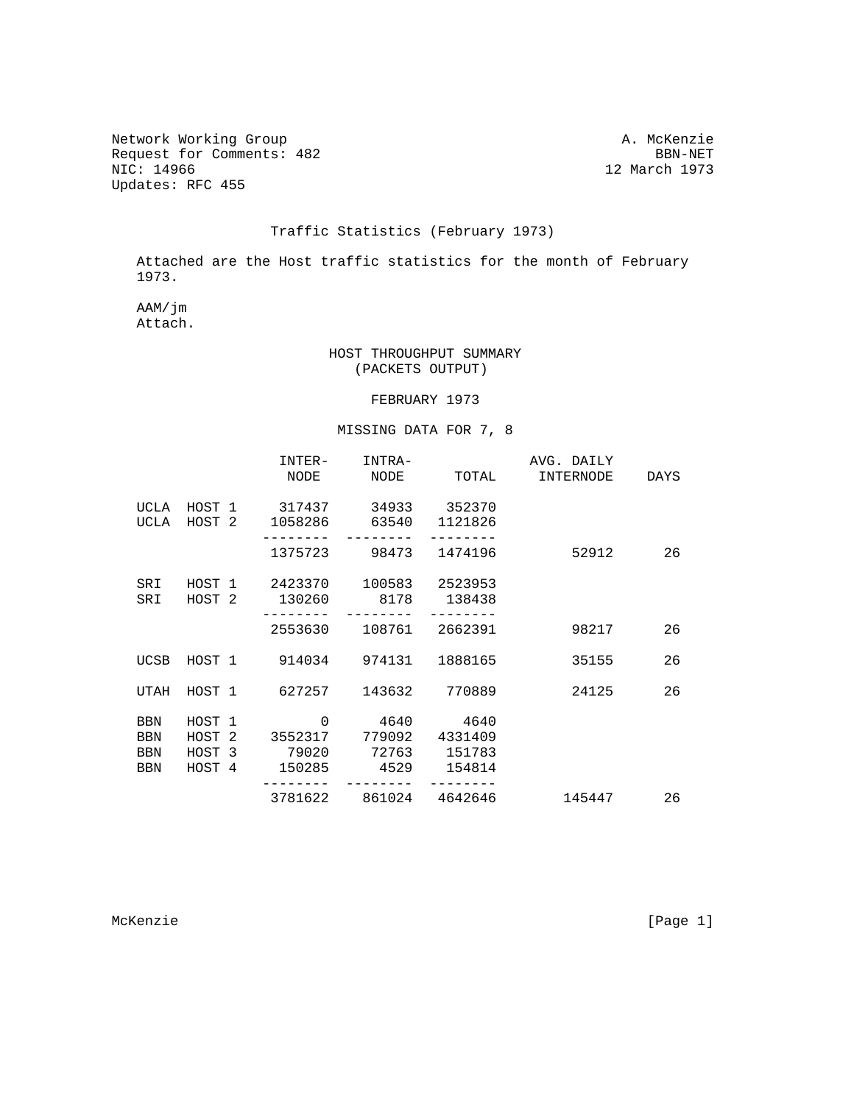Network Working Group<br>Request for Comments: 482 BBN-NET Request for Comments: 482<br>NIC: 14966 Updates: RFC 455

12 March 1973

## Traffic Statistics (February 1973)

 Attached are the Host traffic statistics for the month of February 1973.

 AAM/jm Attach.

## HOST THROUGHPUT SUMMARY (PACKETS OUTPUT)

## FEBRUARY 1973

## MISSING DATA FOR 7, 8

|            |        | INTER-        | INTRA-                          | NODE NODE TOTAL       | AVG. DAILY<br>INTERNODE | DAYS |
|------------|--------|---------------|---------------------------------|-----------------------|-------------------------|------|
|            |        |               |                                 |                       |                         |      |
|            |        |               | UCLA HOST 1 317437 34933 352370 |                       |                         |      |
| UCLA       |        |               | HOST 2 1058286 63540 1121826    |                       |                         |      |
|            |        |               |                                 | 1375723 98473 1474196 | 52912                   | 26   |
| SRI        |        |               | HOST 1 2423370 100583 2523953   |                       |                         |      |
| SRI        |        | HOST 2 130260 | 8178 138438                     |                       |                         |      |
|            |        |               | 2553630 108761 2662391          |                       | 98217                   | 26   |
|            |        |               |                                 |                       |                         |      |
| UCSB       |        |               | HOST 1 914034 974131            | 1888165               | 35155                   | 26   |
| UTAH       |        | HOST 1 627257 |                                 | 143632 770889         | 24125                   | 26   |
|            |        |               |                                 |                       |                         |      |
| <b>BBN</b> | HOST 1 | $\mathbf{0}$  | 4640 4640                       |                       |                         |      |
| BBN        | HOST 2 |               | 3552317 779092                  | 4331409               |                         |      |
| <b>BBN</b> |        |               | HOST 3 79020 72763 151783       |                       |                         |      |
| <b>BBN</b> |        |               | HOST 4 150285 4529 154814       |                       |                         |      |
|            |        |               | 3781622 861024 4642646          |                       | 145447                  | 26   |

McKenzie [Page 1]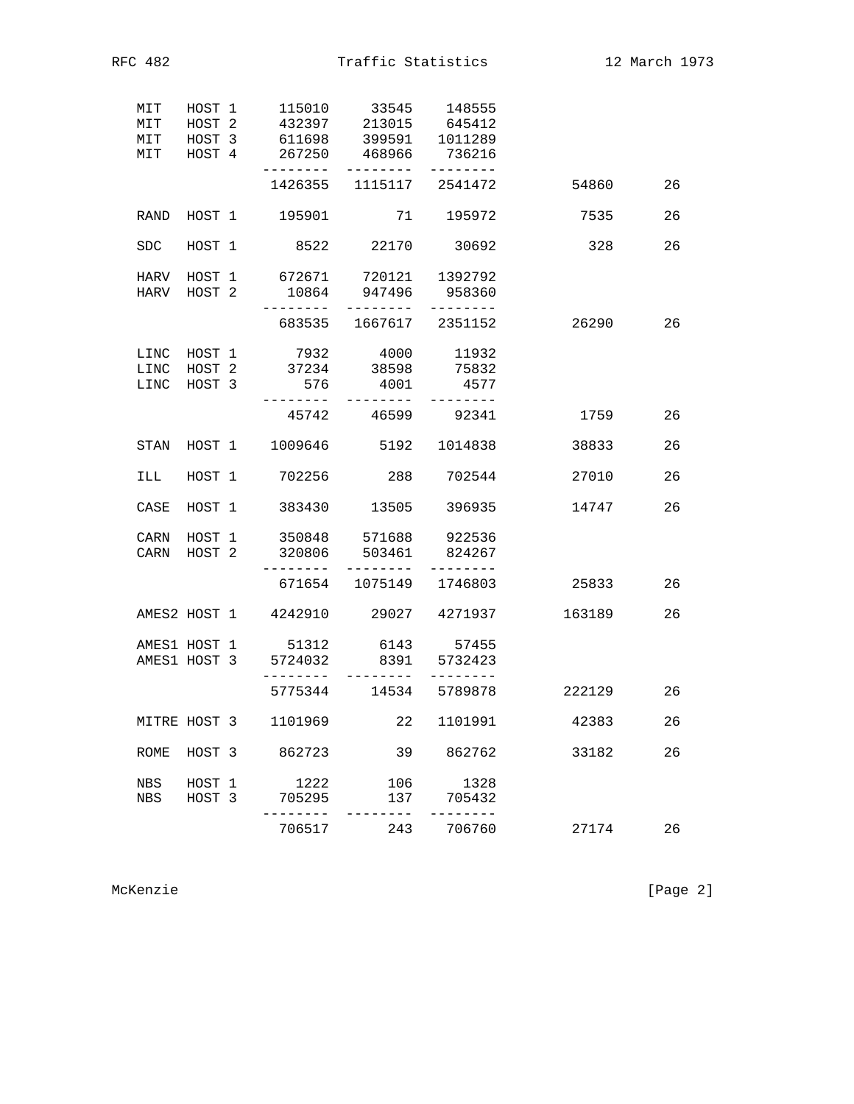| MIT  |                                  | 115010                                                                                                                                                                             | 33545                                               | 148555                                                                                                                                                          |                                                                                                                                                                                                                                                                                                                                                                                                                                                                                                                                                                                                                                                                                                                                                                                                                                                                                                                                                                                                                                                                                                                                       |    |
|------|----------------------------------|------------------------------------------------------------------------------------------------------------------------------------------------------------------------------------|-----------------------------------------------------|-----------------------------------------------------------------------------------------------------------------------------------------------------------------|---------------------------------------------------------------------------------------------------------------------------------------------------------------------------------------------------------------------------------------------------------------------------------------------------------------------------------------------------------------------------------------------------------------------------------------------------------------------------------------------------------------------------------------------------------------------------------------------------------------------------------------------------------------------------------------------------------------------------------------------------------------------------------------------------------------------------------------------------------------------------------------------------------------------------------------------------------------------------------------------------------------------------------------------------------------------------------------------------------------------------------------|----|
|      |                                  |                                                                                                                                                                                    |                                                     |                                                                                                                                                                 |                                                                                                                                                                                                                                                                                                                                                                                                                                                                                                                                                                                                                                                                                                                                                                                                                                                                                                                                                                                                                                                                                                                                       |    |
|      |                                  |                                                                                                                                                                                    |                                                     |                                                                                                                                                                 |                                                                                                                                                                                                                                                                                                                                                                                                                                                                                                                                                                                                                                                                                                                                                                                                                                                                                                                                                                                                                                                                                                                                       |    |
|      |                                  | ---------                                                                                                                                                                          | ---------                                           | --------                                                                                                                                                        |                                                                                                                                                                                                                                                                                                                                                                                                                                                                                                                                                                                                                                                                                                                                                                                                                                                                                                                                                                                                                                                                                                                                       |    |
|      |                                  |                                                                                                                                                                                    |                                                     |                                                                                                                                                                 | 54860                                                                                                                                                                                                                                                                                                                                                                                                                                                                                                                                                                                                                                                                                                                                                                                                                                                                                                                                                                                                                                                                                                                                 | 26 |
| RAND |                                  |                                                                                                                                                                                    |                                                     |                                                                                                                                                                 | 7535                                                                                                                                                                                                                                                                                                                                                                                                                                                                                                                                                                                                                                                                                                                                                                                                                                                                                                                                                                                                                                                                                                                                  | 26 |
| SDC. |                                  |                                                                                                                                                                                    |                                                     |                                                                                                                                                                 | 328                                                                                                                                                                                                                                                                                                                                                                                                                                                                                                                                                                                                                                                                                                                                                                                                                                                                                                                                                                                                                                                                                                                                   | 26 |
| HARV |                                  |                                                                                                                                                                                    |                                                     |                                                                                                                                                                 |                                                                                                                                                                                                                                                                                                                                                                                                                                                                                                                                                                                                                                                                                                                                                                                                                                                                                                                                                                                                                                                                                                                                       |    |
|      |                                  | 10864                                                                                                                                                                              |                                                     |                                                                                                                                                                 |                                                                                                                                                                                                                                                                                                                                                                                                                                                                                                                                                                                                                                                                                                                                                                                                                                                                                                                                                                                                                                                                                                                                       |    |
|      |                                  |                                                                                                                                                                                    |                                                     |                                                                                                                                                                 | 26290                                                                                                                                                                                                                                                                                                                                                                                                                                                                                                                                                                                                                                                                                                                                                                                                                                                                                                                                                                                                                                                                                                                                 | 26 |
| LINC |                                  |                                                                                                                                                                                    |                                                     | 11932                                                                                                                                                           |                                                                                                                                                                                                                                                                                                                                                                                                                                                                                                                                                                                                                                                                                                                                                                                                                                                                                                                                                                                                                                                                                                                                       |    |
| LINC |                                  |                                                                                                                                                                                    |                                                     | 75832                                                                                                                                                           |                                                                                                                                                                                                                                                                                                                                                                                                                                                                                                                                                                                                                                                                                                                                                                                                                                                                                                                                                                                                                                                                                                                                       |    |
| LINC |                                  |                                                                                                                                                                                    | 4001                                                | 4577                                                                                                                                                            |                                                                                                                                                                                                                                                                                                                                                                                                                                                                                                                                                                                                                                                                                                                                                                                                                                                                                                                                                                                                                                                                                                                                       |    |
|      |                                  |                                                                                                                                                                                    |                                                     |                                                                                                                                                                 | 1759                                                                                                                                                                                                                                                                                                                                                                                                                                                                                                                                                                                                                                                                                                                                                                                                                                                                                                                                                                                                                                                                                                                                  | 26 |
| STAN |                                  |                                                                                                                                                                                    |                                                     |                                                                                                                                                                 | 38833                                                                                                                                                                                                                                                                                                                                                                                                                                                                                                                                                                                                                                                                                                                                                                                                                                                                                                                                                                                                                                                                                                                                 | 26 |
| ILL  |                                  |                                                                                                                                                                                    |                                                     |                                                                                                                                                                 | 27010                                                                                                                                                                                                                                                                                                                                                                                                                                                                                                                                                                                                                                                                                                                                                                                                                                                                                                                                                                                                                                                                                                                                 | 26 |
| CASE |                                  |                                                                                                                                                                                    |                                                     | 396935                                                                                                                                                          | 14747                                                                                                                                                                                                                                                                                                                                                                                                                                                                                                                                                                                                                                                                                                                                                                                                                                                                                                                                                                                                                                                                                                                                 | 26 |
|      |                                  |                                                                                                                                                                                    |                                                     |                                                                                                                                                                 |                                                                                                                                                                                                                                                                                                                                                                                                                                                                                                                                                                                                                                                                                                                                                                                                                                                                                                                                                                                                                                                                                                                                       |    |
| CARN |                                  |                                                                                                                                                                                    |                                                     | 824267                                                                                                                                                          |                                                                                                                                                                                                                                                                                                                                                                                                                                                                                                                                                                                                                                                                                                                                                                                                                                                                                                                                                                                                                                                                                                                                       |    |
|      |                                  |                                                                                                                                                                                    |                                                     |                                                                                                                                                                 | 25833                                                                                                                                                                                                                                                                                                                                                                                                                                                                                                                                                                                                                                                                                                                                                                                                                                                                                                                                                                                                                                                                                                                                 | 26 |
|      |                                  |                                                                                                                                                                                    |                                                     |                                                                                                                                                                 | 163189                                                                                                                                                                                                                                                                                                                                                                                                                                                                                                                                                                                                                                                                                                                                                                                                                                                                                                                                                                                                                                                                                                                                | 26 |
|      |                                  |                                                                                                                                                                                    |                                                     |                                                                                                                                                                 |                                                                                                                                                                                                                                                                                                                                                                                                                                                                                                                                                                                                                                                                                                                                                                                                                                                                                                                                                                                                                                                                                                                                       |    |
|      |                                  |                                                                                                                                                                                    |                                                     | 5732423                                                                                                                                                         |                                                                                                                                                                                                                                                                                                                                                                                                                                                                                                                                                                                                                                                                                                                                                                                                                                                                                                                                                                                                                                                                                                                                       |    |
|      |                                  |                                                                                                                                                                                    |                                                     |                                                                                                                                                                 | 222129                                                                                                                                                                                                                                                                                                                                                                                                                                                                                                                                                                                                                                                                                                                                                                                                                                                                                                                                                                                                                                                                                                                                | 26 |
|      |                                  |                                                                                                                                                                                    | 22                                                  | 1101991                                                                                                                                                         | 42383                                                                                                                                                                                                                                                                                                                                                                                                                                                                                                                                                                                                                                                                                                                                                                                                                                                                                                                                                                                                                                                                                                                                 | 26 |
| ROME |                                  | 862723                                                                                                                                                                             | 39                                                  | 862762                                                                                                                                                          | 33182                                                                                                                                                                                                                                                                                                                                                                                                                                                                                                                                                                                                                                                                                                                                                                                                                                                                                                                                                                                                                                                                                                                                 | 26 |
|      |                                  |                                                                                                                                                                                    |                                                     |                                                                                                                                                                 |                                                                                                                                                                                                                                                                                                                                                                                                                                                                                                                                                                                                                                                                                                                                                                                                                                                                                                                                                                                                                                                                                                                                       |    |
| NBS  |                                  | 705295                                                                                                                                                                             | 137                                                 | 705432                                                                                                                                                          |                                                                                                                                                                                                                                                                                                                                                                                                                                                                                                                                                                                                                                                                                                                                                                                                                                                                                                                                                                                                                                                                                                                                       |    |
|      |                                  | 706517                                                                                                                                                                             | 243                                                 | 706760                                                                                                                                                          | 27174                                                                                                                                                                                                                                                                                                                                                                                                                                                                                                                                                                                                                                                                                                                                                                                                                                                                                                                                                                                                                                                                                                                                 | 26 |
|      | MIT<br>MIT<br>MIT<br>CARN<br>NBS | HOST 1<br>HOST <sub>2</sub><br>HOST 3<br>HOST 4<br>HOST 1<br>HARV HOST 2<br>HOST 1<br>HOST 2<br>HOST 3<br>HOST 1<br>HOST 1<br>HOST 2<br>MITRE HOST 3<br>HOST 3<br>HOST 1<br>HOST 3 | 702256<br>HOST 1<br>AMES1 HOST 3<br>1101969<br>1222 | 8522 22170<br>-------<br>---------<br>7932<br>576<br>--------<br>--------<br>320806<br>5724032<br>- - - - - - - <sup>-</sup><br>$- - - - - -$<br>5775344<br>106 | 432397 213015 645412<br>611698 399591 1011289<br>267250 468966 736216<br>1426355 1115117 2541472<br>HOST 1 195901 71 195972<br>30692<br>HOST 1 672671 720121 1392792<br>947496 958360<br>--------<br>683535 1667617 2351152<br>4000<br>$\begin{array}{r} \n \stackrel{\cdot}{\cancel{5}} \stackrel{\cdot}{\cancel{5}} \stackrel{\cdot}{\cancel{5}} \stackrel{\cdot}{\cancel{5}} \stackrel{\cdot}{\cancel{5}} \stackrel{\cdot}{\cancel{5}} \stackrel{\cdot}{\cancel{5}} \stackrel{\cdot}{\cancel{5}} \stackrel{\cdot}{\cancel{5}} \stackrel{\cdot}{\cancel{5}} \stackrel{\cdot}{\cancel{5}} \stackrel{\cdot}{\cancel{5}} \stackrel{\cdot}{\cancel{5}} \stackrel{\cdot}{\cancel{5}} \stackrel{\cdot}{\cancel{5}} \stackrel{\cdot}{\cancel{5}} \stackrel{\cdot}{\cancel{5}} \stackrel{\cdot}{\cancel{5}} \stackrel{\cdot}{\cancel{5}} \stack$<br>45742 46599 92341<br>HOST 1 1009646 5192 1014838<br>288 702544<br>383430 13505<br>350848 571688 922536<br>503461<br>---------<br>--------<br>671654 1075149 1746803<br>AMES2 HOST 1 4242910 29027 4271937<br>AMES1 HOST 1 51312 6143 57455<br>8391<br>--------<br>14534 5789878<br>1328 |    |

McKenzie [Page 2]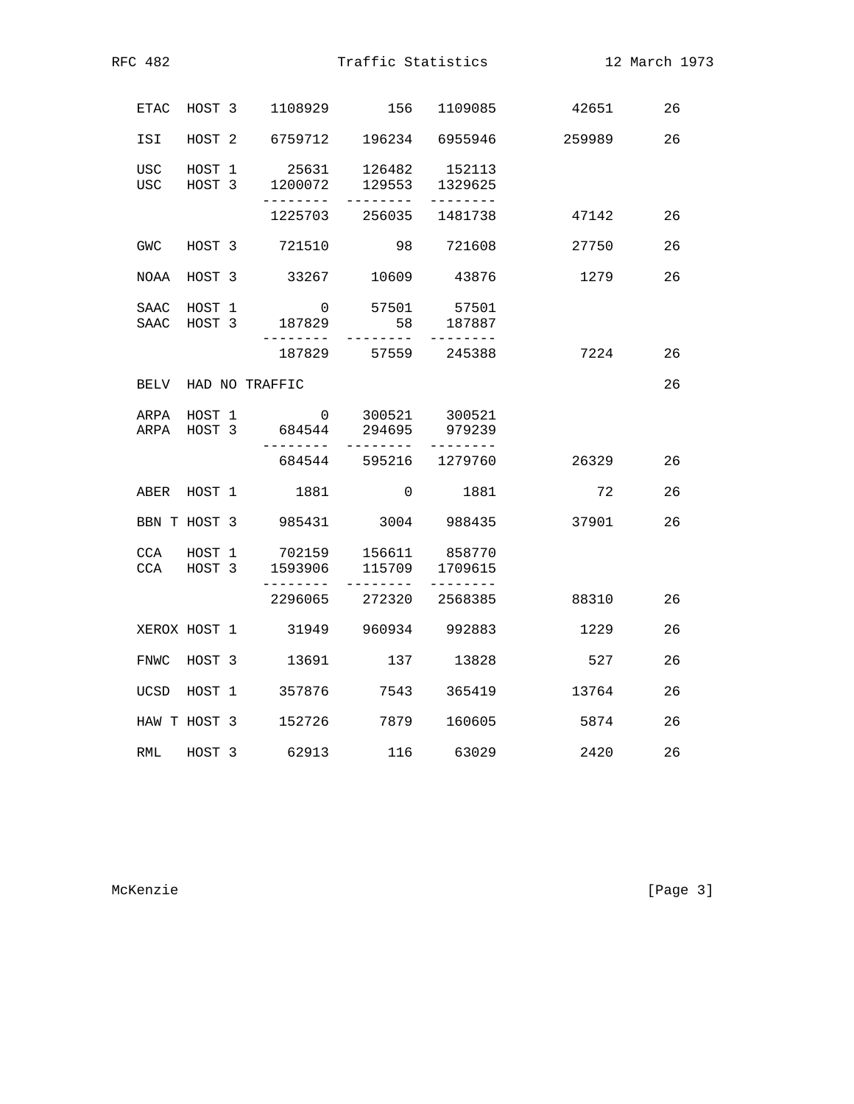| RFC 482             |                  |                                                         | Traffic Statistics     |                             |        | 12 March 1973 |
|---------------------|------------------|---------------------------------------------------------|------------------------|-----------------------------|--------|---------------|
| ETAC                |                  | HOST 3 1108929 156 1109085                              |                        |                             | 42651  | 26            |
| ISI                 | HOST 2           | 6759712 196234 6955946                                  |                        |                             | 259989 | 26            |
| USC<br>USC          | HOST 1<br>HOST 3 | 25631<br>1200072<br>---------                           | 126482                 | 152113<br>129553 1329625    |        |               |
|                     |                  | 1225703                                                 |                        | 256035 1481738              | 47142  | 26            |
| <b>GWC</b>          | HOST 3           | 721510                                                  |                        | 98 721608                   | 27750  | 26            |
| NOAA                | HOST 3           | 33267                                                   |                        | 10609 43876                 | 1279   | 26            |
| SAAC<br>SAAC HOST 3 | HOST 1           | $\overline{0}$<br>187829                                | 58                     | 57501 57501<br>187887       |        |               |
|                     |                  | ---------                                               | 187829 57559 245388    |                             | 7224   | 26            |
|                     |                  | BELV HAD NO TRAFFIC                                     |                        |                             |        | 26            |
| ARPA HOST 1         |                  | $\overline{0}$<br>ARPA HOST 3 684544 294695             | 300521                 | 300521<br>979239            |        |               |
|                     |                  |                                                         | 684544 595216 1279760  |                             | 26329  | 26            |
|                     |                  | ABER HOST 1 1881                                        |                        | $\overline{0}$<br>1881      | 72     | 26            |
|                     |                  | BBN T HOST 3 985431 3004 988435                         |                        |                             | 37901  | 26            |
| CCA HOST 3          |                  | CCA HOST 1 702159 156611 858770<br>1593906<br>--------- | --------               | 115709 1709615<br>--------- |        |               |
|                     |                  |                                                         | 2296065 272320 2568385 |                             | 88310  | 26            |
| XEROX HOST 1        |                  | 31949 960934 992883                                     |                        |                             | 1229   | 26            |
| FNWC HOST 3         |                  | 13691                                                   |                        | 137 13828                   | 527    | 26            |
| UCSD HOST 1         |                  | 357876 7543 365419                                      |                        |                             | 13764  | 26            |
|                     |                  | HAW T HOST 3 152726 7879                                |                        | 160605                      | 5874   | 26            |
| RML HOST 3          |                  | 62913                                                   | 116 63029              |                             | 2420   | 26            |
|                     |                  |                                                         |                        |                             |        |               |

McKenzie [Page 3]